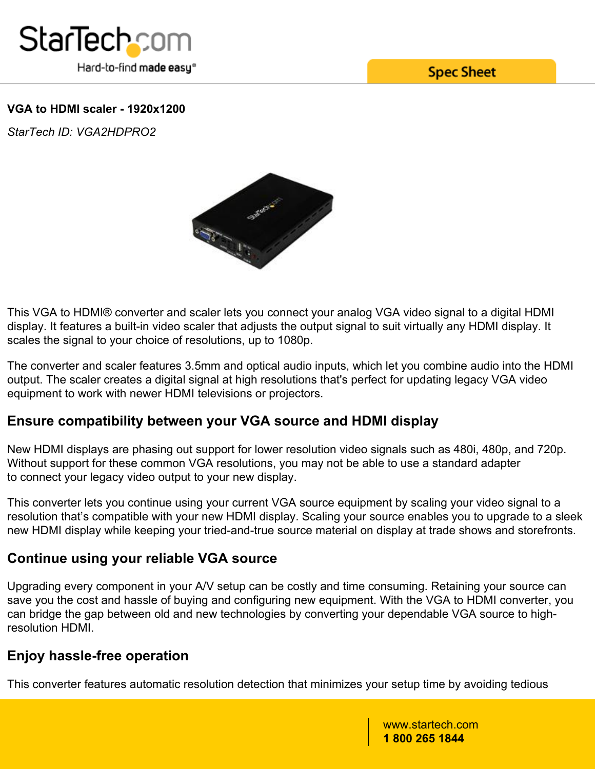

**Spec Sheet** 

### **VGA to HDMI scaler - 1920x1200**

*StarTech ID: VGA2HDPRO2*



This VGA to HDMI® converter and scaler lets you connect your analog VGA video signal to a digital HDMI display. It features a built-in video scaler that adjusts the output signal to suit virtually any HDMI display. It scales the signal to your choice of resolutions, up to 1080p.

The converter and scaler features 3.5mm and optical audio inputs, which let you combine audio into the HDMI output. The scaler creates a digital signal at high resolutions that's perfect for updating legacy VGA video equipment to work with newer HDMI televisions or projectors.

## **Ensure compatibility between your VGA source and HDMI display**

New HDMI displays are phasing out support for lower resolution video signals such as 480i, 480p, and 720p. Without support for these common VGA resolutions, you may not be able to use a standard adapter to connect your legacy video output to your new display.

This converter lets you continue using your current VGA source equipment by scaling your video signal to a resolution that's compatible with your new HDMI display. Scaling your source enables you to upgrade to a sleek new HDMI display while keeping your tried-and-true source material on display at trade shows and storefronts.

## **Continue using your reliable VGA source**

Upgrading every component in your A/V setup can be costly and time consuming. Retaining your source can save you the cost and hassle of buying and configuring new equipment. With the VGA to HDMI converter, you can bridge the gap between old and new technologies by converting your dependable VGA source to highresolution HDMI.

# **Enjoy hassle-free operation**

This converter features automatic resolution detection that minimizes your setup time by avoiding tedious

www.startech.com **1 800 265 1844**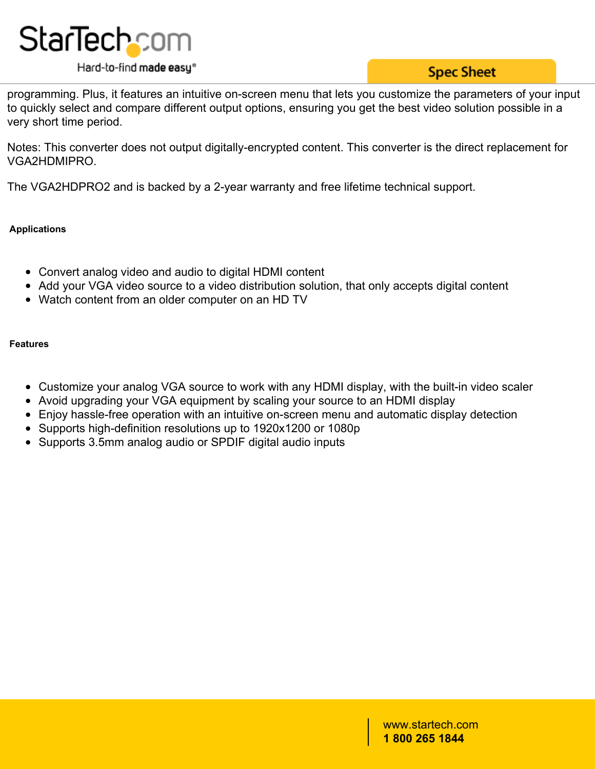

## **Spec Sheet**

programming. Plus, it features an intuitive on-screen menu that lets you customize the parameters of your input to quickly select and compare different output options, ensuring you get the best video solution possible in a very short time period.

Notes: This converter does not output digitally-encrypted content. This converter is the direct replacement for VGA2HDMIPRO.

The VGA2HDPRO2 and is backed by a 2-year warranty and free lifetime technical support.

### **Applications**

- Convert analog video and audio to digital HDMI content
- Add your VGA video source to a video distribution solution, that only accepts digital content
- Watch content from an older computer on an HD TV

#### **Features**

- Customize your analog VGA source to work with any HDMI display, with the built-in video scaler
- Avoid upgrading your VGA equipment by scaling your source to an HDMI display
- Enjoy hassle-free operation with an intuitive on-screen menu and automatic display detection
- Supports high-definition resolutions up to 1920x1200 or 1080p
- Supports 3.5mm analog audio or SPDIF digital audio inputs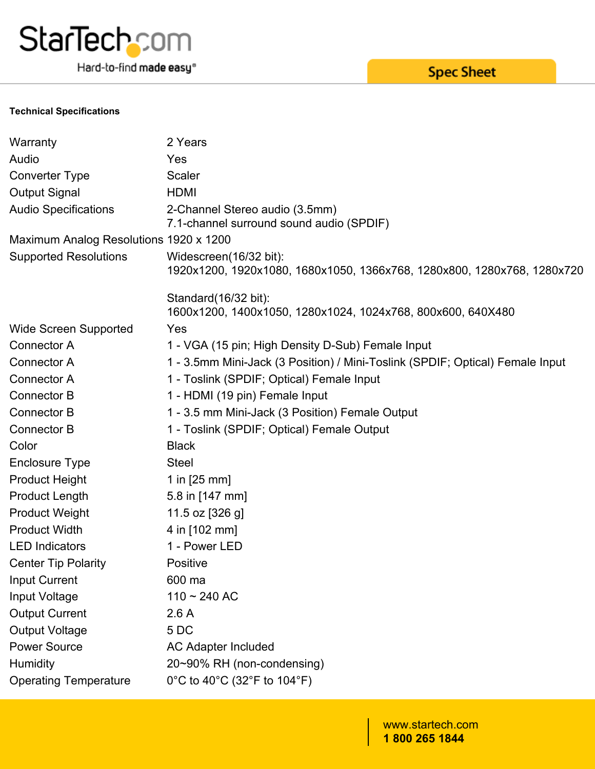

Hard-to-find made easy®

**Spec Sheet** 

#### **Technical Specifications**

| Warranty                               | 2 Years                                                                                           |
|----------------------------------------|---------------------------------------------------------------------------------------------------|
| Audio                                  | Yes                                                                                               |
| Converter Type                         | <b>Scaler</b>                                                                                     |
| <b>Output Signal</b>                   | <b>HDMI</b>                                                                                       |
| <b>Audio Specifications</b>            | 2-Channel Stereo audio (3.5mm)<br>7.1-channel surround sound audio (SPDIF)                        |
| Maximum Analog Resolutions 1920 x 1200 |                                                                                                   |
| <b>Supported Resolutions</b>           | Widescreen(16/32 bit):<br>1920x1200, 1920x1080, 1680x1050, 1366x768, 1280x800, 1280x768, 1280x720 |
|                                        | Standard (16/32 bit):<br>1600x1200, 1400x1050, 1280x1024, 1024x768, 800x600, 640X480              |
| <b>Wide Screen Supported</b>           | Yes                                                                                               |
| Connector A                            | 1 - VGA (15 pin; High Density D-Sub) Female Input                                                 |
| Connector A                            | 1 - 3.5mm Mini-Jack (3 Position) / Mini-Toslink (SPDIF; Optical) Female Input                     |
| Connector A                            | 1 - Toslink (SPDIF; Optical) Female Input                                                         |
| <b>Connector B</b>                     | 1 - HDMI (19 pin) Female Input                                                                    |
| <b>Connector B</b>                     | 1 - 3.5 mm Mini-Jack (3 Position) Female Output                                                   |
| <b>Connector B</b>                     | 1 - Toslink (SPDIF; Optical) Female Output                                                        |
| Color                                  | <b>Black</b>                                                                                      |
| <b>Enclosure Type</b>                  | <b>Steel</b>                                                                                      |
| <b>Product Height</b>                  | 1 in $[25 \, \text{mm}]$                                                                          |
| <b>Product Length</b>                  | 5.8 in [147 mm]                                                                                   |
| <b>Product Weight</b>                  | 11.5 oz [326 g]                                                                                   |
| <b>Product Width</b>                   | 4 in [102 mm]                                                                                     |
| <b>LED Indicators</b>                  | 1 - Power LED                                                                                     |
| <b>Center Tip Polarity</b>             | Positive                                                                                          |
| Input Current                          | 600 ma                                                                                            |
| Input Voltage                          | $110 - 240$ AC                                                                                    |
| <b>Output Current</b>                  | 2.6A                                                                                              |
| <b>Output Voltage</b>                  | 5DC                                                                                               |
| <b>Power Source</b>                    | <b>AC Adapter Included</b>                                                                        |
| Humidity                               | 20~90% RH (non-condensing)                                                                        |
| <b>Operating Temperature</b>           | 0°C to 40°C (32°F to 104°F)                                                                       |
|                                        |                                                                                                   |